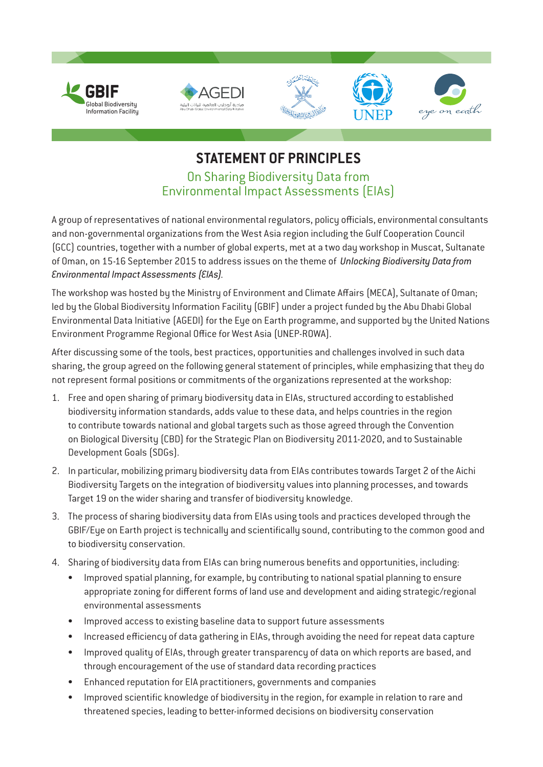

## **STATEMENT OF PRINCIPLES** On Sharing Biodiversity Data from Environmental Impact Assessments (EIAs)

A group of representatives of national environmental regulators, policy officials, environmental consultants and non-governmental organizations from the West Asia region including the Gulf Cooperation Council (GCC) countries, together with a number of global experts, met at a two day workshop in Muscat, Sultanate of Oman, on 15-16 September 2015 to address issues on the theme of *Unlocking Biodiversity Data from Environmental Impact Assessments (EIAs)*.

The workshop was hosted by the Ministry of Environment and Climate Affairs (MECA), Sultanate of Oman; led by the Global Biodiversity Information Facility (GBIF) under a project funded by the Abu Dhabi Global Environmental Data Initiative (AGEDI) for the Eye on Earth programme, and supported by the United Nations Environment Programme Regional Office for West Asia (UNEP-ROWA).

After discussing some of the tools, best practices, opportunities and challenges involved in such data sharing, the group agreed on the following general statement of principles, while emphasizing that they do not represent formal positions or commitments of the organizations represented at the workshop:

- 1. Free and open sharing of primary biodiversity data in EIAs, structured according to established biodiversity information standards, adds value to these data, and helps countries in the region to contribute towards national and global targets such as those agreed through the Convention on Biological Diversity (CBD) for the Strategic Plan on Biodiversity 2011-2020, and to Sustainable Development Goals (SDGs).
- 2. In particular, mobilizing primary biodiversity data from EIAs contributes towards Target 2 of the Aichi Biodiversity Targets on the integration of biodiversity values into planning processes, and towards Target 19 on the wider sharing and transfer of biodiversity knowledge.
- 3. The process of sharing biodiversity data from EIAs using tools and practices developed through the GBIF/Eye on Earth project is technically and scientifically sound, contributing to the common good and to biodiversity conservation.
- 4. Sharing of biodiversity data from EIAs can bring numerous benefits and opportunities, including:
	- Improved spatial planning, for example, by contributing to national spatial planning to ensure appropriate zoning for different forms of land use and development and aiding strategic/regional environmental assessments
	- Improved access to existing baseline data to support future assessments
	- Increased efficiency of data gathering in EIAs, through avoiding the need for repeat data capture
	- Improved quality of EIAs, through greater transparency of data on which reports are based, and through encouragement of the use of standard data recording practices
	- Enhanced reputation for EIA practitioners, governments and companies
	- Improved scientific knowledge of biodiversity in the region, for example in relation to rare and threatened species, leading to better-informed decisions on biodiversity conservation